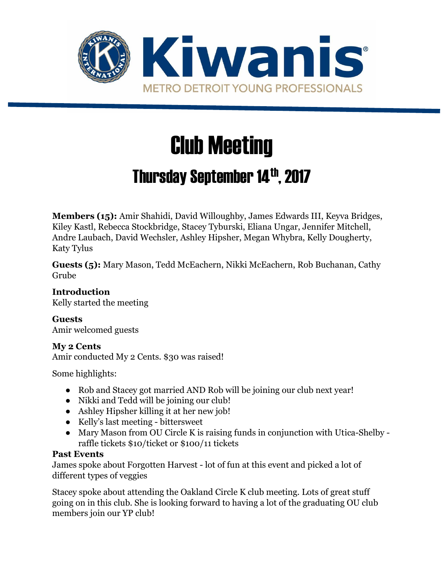

# Club Meeting

# Thursday September 14th, 2017

**Members (15):** Amir Shahidi, David Willoughby, James Edwards III, Keyva Bridges, Kiley Kastl, Rebecca Stockbridge, Stacey Tyburski, Eliana Ungar, Jennifer Mitchell, Andre Laubach, David Wechsler, Ashley Hipsher, Megan Whybra, Kelly Dougherty, Katy Tylus

**Guests (5):** Mary Mason, Tedd McEachern, Nikki McEachern, Rob Buchanan, Cathy Grube

**Introduction** Kelly started the meeting

**Guests** Amir welcomed guests

#### **My 2 Cents**

Amir conducted My 2 Cents. \$30 was raised!

Some highlights:

- Rob and Stacey got married AND Rob will be joining our club next year!
- Nikki and Tedd will be joining our club!
- Ashley Hipsher killing it at her new job!
- Kelly's last meeting bittersweet
- Mary Mason from OU Circle K is raising funds in conjunction with Utica-Shelby raffle tickets \$10/ticket or \$100/11 tickets

# **Past Events**

James spoke about Forgotten Harvest - lot of fun at this event and picked a lot of different types of veggies

Stacey spoke about attending the Oakland Circle K club meeting. Lots of great stuff going on in this club. She is looking forward to having a lot of the graduating OU club members join our YP club!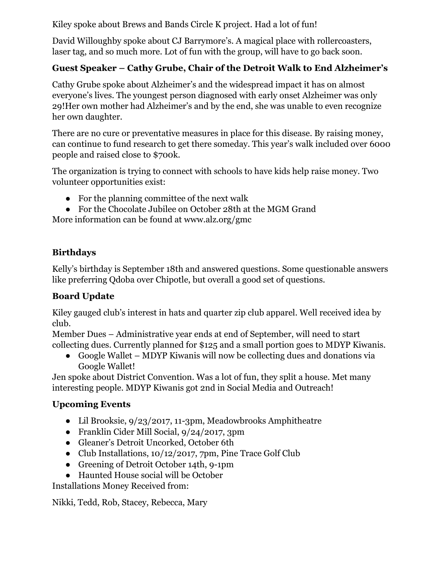Kiley spoke about Brews and Bands Circle K project. Had a lot of fun!

David Willoughby spoke about CJ Barrymore's. A magical place with rollercoasters, laser tag, and so much more. Lot of fun with the group, will have to go back soon.

## **Guest Speaker – Cathy Grube, Chair of the Detroit Walk to End Alzheimer's**

Cathy Grube spoke about Alzheimer's and the widespread impact it has on almost everyone's lives. The youngest person diagnosed with early onset Alzheimer was only 29!Her own mother had Alzheimer's and by the end, she was unable to even recognize her own daughter.

There are no cure or preventative measures in place for this disease. By raising money, can continue to fund research to get there someday. This year's walk included over 6000 people and raised close to \$700k.

The organization is trying to connect with schools to have kids help raise money. Two volunteer opportunities exist:

- For the planning committee of the next walk
- For the Chocolate Jubilee on October 28th at the MGM Grand

More information can be found at www.alz.org/gmc

## **Birthdays**

Kelly's birthday is September 18th and answered questions. Some questionable answers like preferring Qdoba over Chipotle, but overall a good set of questions.

#### **Board Update**

Kiley gauged club's interest in hats and quarter zip club apparel. Well received idea by club.

Member Dues – Administrative year ends at end of September, will need to start collecting dues. Currently planned for \$125 and a small portion goes to MDYP Kiwanis.

● Google Wallet – MDYP Kiwanis will now be collecting dues and donations via Google Wallet!

Jen spoke about District Convention. Was a lot of fun, they split a house. Met many interesting people. MDYP Kiwanis got 2nd in Social Media and Outreach!

#### **Upcoming Events**

- Lil Brooksie, 9/23/2017, 11-3pm, Meadowbrooks Amphitheatre
- Franklin Cider Mill Social, 9/24/2017, 3pm
- Gleaner's Detroit Uncorked, October 6th
- Club Installations, 10/12/2017, 7pm, Pine Trace Golf Club
- Greening of Detroit October 14th, 9-1pm
- Haunted House social will be October

Installations Money Received from:

Nikki, Tedd, Rob, Stacey, Rebecca, Mary